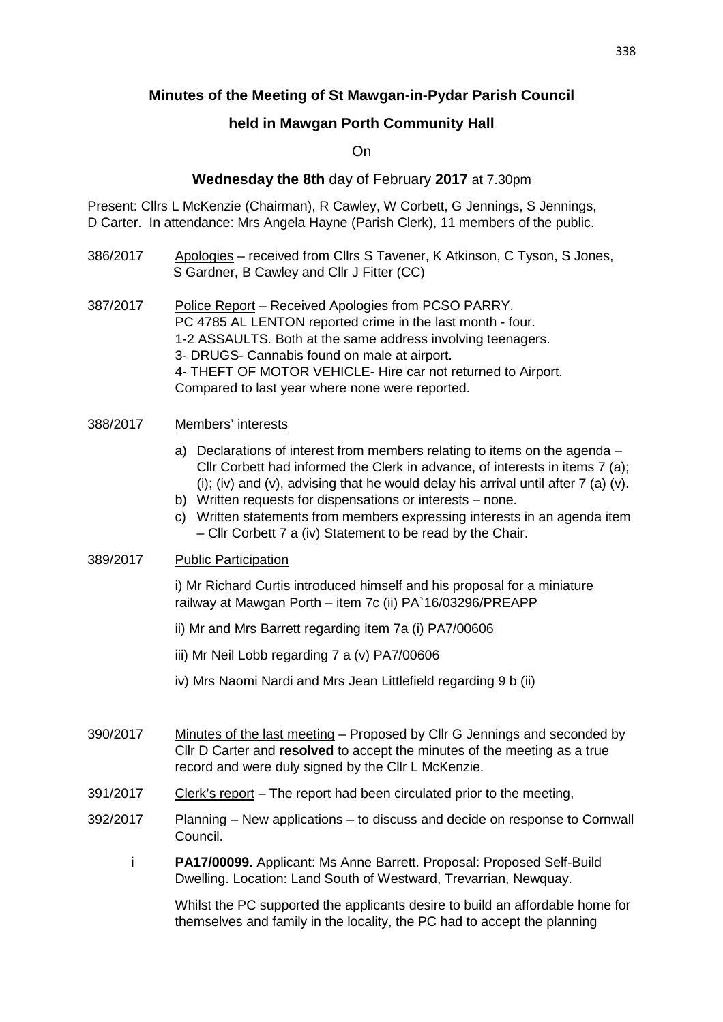# **Minutes of the Meeting of St Mawgan-in-Pydar Parish Council**

## **held in Mawgan Porth Community Hall**

On

### **Wednesday the 8th** day of February **2017** at 7.30pm

Present: Cllrs L McKenzie (Chairman), R Cawley, W Corbett, G Jennings, S Jennings, D Carter. In attendance: Mrs Angela Hayne (Parish Clerk), 11 members of the public.

- 386/2017 Apologies received from Cllrs S Tavener, K Atkinson, C Tyson, S Jones, S Gardner, B Cawley and Cllr J Fitter (CC)
- 387/2017 Police Report Received Apologies from PCSO PARRY. PC 4785 AL LENTON reported crime in the last month - four. 1-2 ASSAULTS. Both at the same address involving teenagers. 3- DRUGS- Cannabis found on male at airport. 4- THEFT OF MOTOR VEHICLE- Hire car not returned to Airport. Compared to last year where none were reported.

#### 388/2017 Members' interests

- a) Declarations of interest from members relating to items on the agenda Cllr Corbett had informed the Clerk in advance, of interests in items 7 (a); (i); (iv) and (v), advising that he would delay his arrival until after  $7$  (a) (v).
- b) Written requests for dispensations or interests none.
- c) Written statements from members expressing interests in an agenda item – Cllr Corbett 7 a (iv) Statement to be read by the Chair.

#### 389/2017 Public Participation

 i) Mr Richard Curtis introduced himself and his proposal for a miniature railway at Mawgan Porth – item 7c (ii) PA`16/03296/PREAPP

- ii) Mr and Mrs Barrett regarding item 7a (i) PA7/00606
- iii) Mr Neil Lobb regarding 7 a (v) PA7/00606
- iv) Mrs Naomi Nardi and Mrs Jean Littlefield regarding 9 b (ii)
- 390/2017 Minutes of the last meeting Proposed by Cllr G Jennings and seconded by Cllr D Carter and **resolved** to accept the minutes of the meeting as a true record and were duly signed by the Cllr L McKenzie.
- 391/2017 Clerk's report The report had been circulated prior to the meeting,
- 392/2017 Planning New applications to discuss and decide on response to Cornwall Council.
	- i **PA17/00099.** Applicant: Ms Anne Barrett. Proposal: Proposed Self-Build Dwelling. Location: Land South of Westward, Trevarrian, Newquay.

 Whilst the PC supported the applicants desire to build an affordable home for themselves and family in the locality, the PC had to accept the planning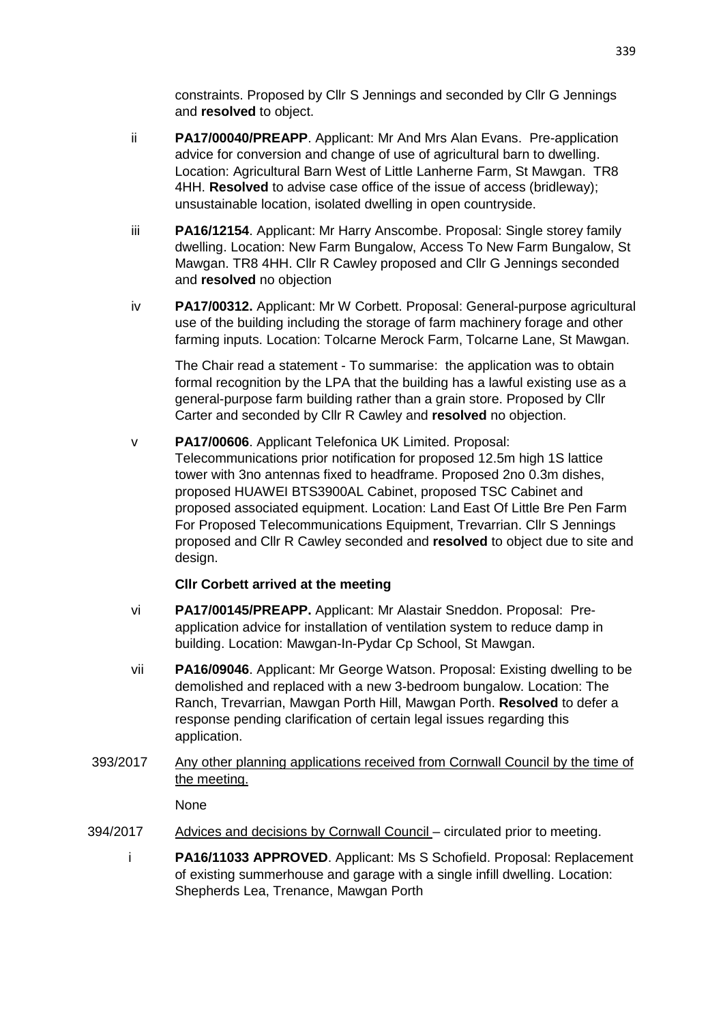constraints. Proposed by Cllr S Jennings and seconded by Cllr G Jennings and **resolved** to object.

- ii **PA17/00040/PREAPP**. Applicant: Mr And Mrs Alan Evans. Pre-application advice for conversion and change of use of agricultural barn to dwelling. Location: Agricultural Barn West of Little Lanherne Farm, St Mawgan. TR8 4HH. **Resolved** to advise case office of the issue of access (bridleway); unsustainable location, isolated dwelling in open countryside.
- iii **PA16/12154**. Applicant: Mr Harry Anscombe. Proposal: Single storey family dwelling. Location: New Farm Bungalow, Access To New Farm Bungalow, St Mawgan. TR8 4HH. Cllr R Cawley proposed and Cllr G Jennings seconded and **resolved** no objection
- iv **PA17/00312.** Applicant: Mr W Corbett. Proposal: General-purpose agricultural use of the building including the storage of farm machinery forage and other farming inputs. Location: Tolcarne Merock Farm, Tolcarne Lane, St Mawgan.

 The Chair read a statement - To summarise: the application was to obtain formal recognition by the LPA that the building has a lawful existing use as a general-purpose farm building rather than a grain store. Proposed by Cllr Carter and seconded by Cllr R Cawley and **resolved** no objection.

v **PA17/00606**. Applicant Telefonica UK Limited. Proposal: Telecommunications prior notification for proposed 12.5m high 1S lattice tower with 3no antennas fixed to headframe. Proposed 2no 0.3m dishes, proposed HUAWEI BTS3900AL Cabinet, proposed TSC Cabinet and proposed associated equipment. Location: Land East Of Little Bre Pen Farm For Proposed Telecommunications Equipment, Trevarrian. Cllr S Jennings proposed and Cllr R Cawley seconded and **resolved** to object due to site and design.

## **Cllr Corbett arrived at the meeting**

- vi **PA17/00145/PREAPP.** Applicant: Mr Alastair Sneddon. Proposal: Preapplication advice for installation of ventilation system to reduce damp in building. Location: Mawgan-In-Pydar Cp School, St Mawgan.
- vii **PA16/09046**. Applicant: Mr George Watson. Proposal: Existing dwelling to be demolished and replaced with a new 3-bedroom bungalow. Location: The Ranch, Trevarrian, Mawgan Porth Hill, Mawgan Porth. **Resolved** to defer a response pending clarification of certain legal issues regarding this application.
- 393/2017 Any other planning applications received from Cornwall Council by the time of the meeting.

None

- 394/2017 Advices and decisions by Cornwall Council circulated prior to meeting.
	- i **PA16/11033 APPROVED**. Applicant: Ms S Schofield. Proposal: Replacement of existing summerhouse and garage with a single infill dwelling. Location: Shepherds Lea, Trenance, Mawgan Porth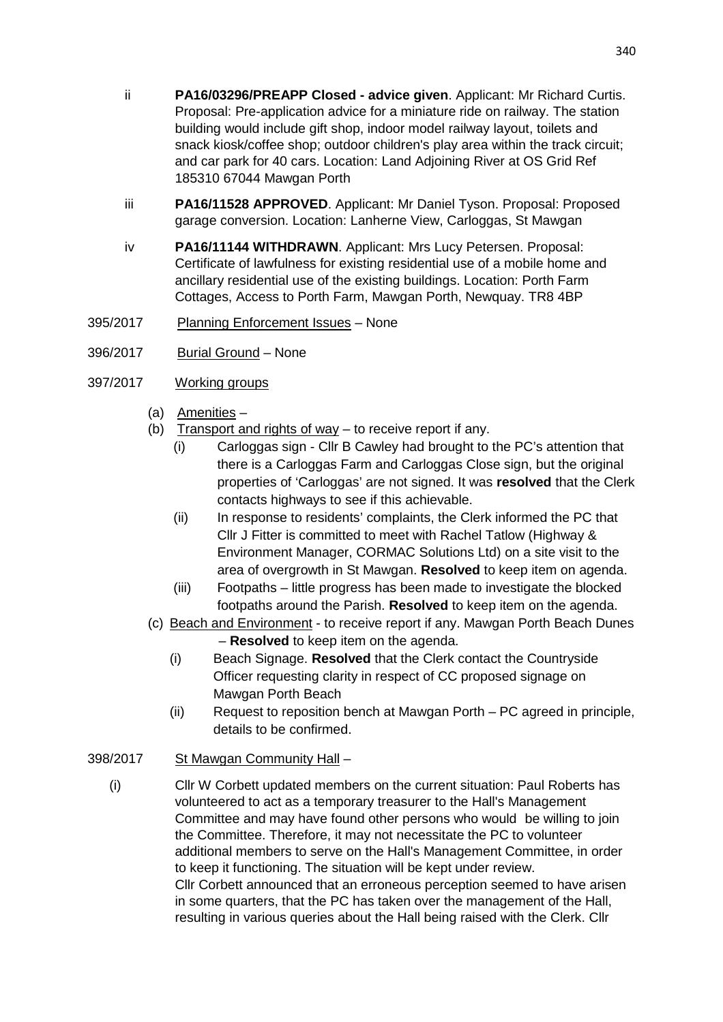- ii **PA16/03296/PREAPP Closed advice given**. Applicant: Mr Richard Curtis. Proposal: Pre-application advice for a miniature ride on railway. The station building would include gift shop, indoor model railway layout, toilets and snack kiosk/coffee shop; outdoor children's play area within the track circuit; and car park for 40 cars. Location: Land Adjoining River at OS Grid Ref 185310 67044 Mawgan Porth
- iii **PA16/11528 APPROVED**. Applicant: Mr Daniel Tyson. Proposal: Proposed garage conversion. Location: Lanherne View, Carloggas, St Mawgan
- iv **PA16/11144 WITHDRAWN**. Applicant: Mrs Lucy Petersen. Proposal: Certificate of lawfulness for existing residential use of a mobile home and ancillary residential use of the existing buildings. Location: Porth Farm Cottages, Access to Porth Farm, Mawgan Porth, Newquay. TR8 4BP
- 395/2017 Planning Enforcement Issues None
- 396/2017 Burial Ground None
- 397/2017 Working groups
	- (a) Amenities –
	- (b) Transport and rights of way to receive report if any.
		- (i) Carloggas sign Cllr B Cawley had brought to the PC's attention that there is a Carloggas Farm and Carloggas Close sign, but the original properties of 'Carloggas' are not signed. It was **resolved** that the Clerk contacts highways to see if this achievable.
		- (ii) In response to residents' complaints, the Clerk informed the PC that Cllr J Fitter is committed to meet with Rachel Tatlow (Highway & Environment Manager, CORMAC Solutions Ltd) on a site visit to the area of overgrowth in St Mawgan. **Resolved** to keep item on agenda.
		- (iii) Footpaths little progress has been made to investigate the blocked footpaths around the Parish. **Resolved** to keep item on the agenda.
	- (c) Beach and Environment to receive report if any. Mawgan Porth Beach Dunes – **Resolved** to keep item on the agenda.
		- (i) Beach Signage. **Resolved** that the Clerk contact the Countryside Officer requesting clarity in respect of CC proposed signage on Mawgan Porth Beach
		- (ii) Request to reposition bench at Mawgan Porth PC agreed in principle, details to be confirmed.
- 398/2017 St Mawgan Community Hall
	- (i) Cllr W Corbett updated members on the current situation: Paul Roberts has volunteered to act as a temporary treasurer to the Hall's Management Committee and may have found other persons who would be willing to join the Committee. Therefore, it may not necessitate the PC to volunteer additional members to serve on the Hall's Management Committee, in order to keep it functioning. The situation will be kept under review. Cllr Corbett announced that an erroneous perception seemed to have arisen in some quarters, that the PC has taken over the management of the Hall, resulting in various queries about the Hall being raised with the Clerk. Cllr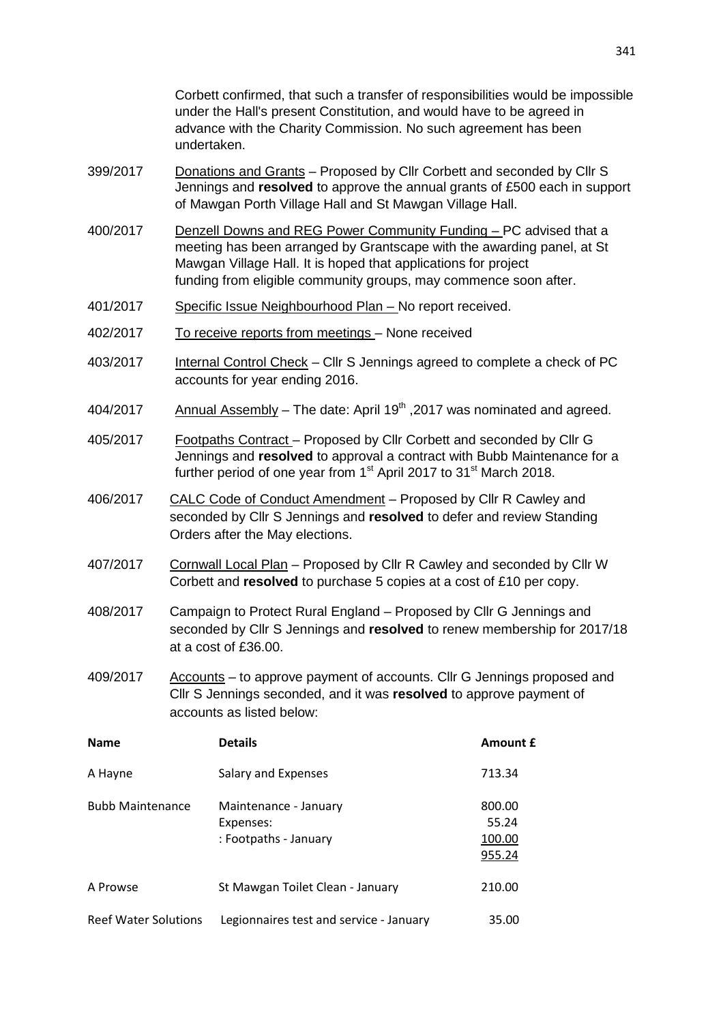Corbett confirmed, that such a transfer of responsibilities would be impossible under the Hall's present Constitution, and would have to be agreed in advance with the Charity Commission. No such agreement has been undertaken.

- 399/2017 Donations and Grants Proposed by Cllr Corbett and seconded by Cllr S Jennings and **resolved** to approve the annual grants of £500 each in support of Mawgan Porth Village Hall and St Mawgan Village Hall.
- 400/2017 Denzell Downs and REG Power Community Funding PC advised that a meeting has been arranged by Grantscape with the awarding panel, at St Mawgan Village Hall. It is hoped that applications for project funding from eligible community groups, may commence soon after.
- 401/2017 Specific Issue Neighbourhood Plan No report received.
- 402/2017 To receive reports from meetings None received
- 403/2017 Internal Control Check Cllr S Jennings agreed to complete a check of PC accounts for year ending 2016.
- $404/2017$  Annual Assembly The date: April 19<sup>th</sup>, 2017 was nominated and agreed.
- 405/2017 Footpaths Contract Proposed by Cllr Corbett and seconded by Cllr G Jennings and **resolved** to approval a contract with Bubb Maintenance for a further period of one year from 1<sup>st</sup> April 2017 to 31<sup>st</sup> March 2018.
- 406/2017 CALC Code of Conduct Amendment Proposed by Cllr R Cawley and seconded by Cllr S Jennings and **resolved** to defer and review Standing Orders after the May elections.
- 407/2017 Cornwall Local Plan Proposed by Cllr R Cawley and seconded by Cllr W Corbett and **resolved** to purchase 5 copies at a cost of £10 per copy.
- 408/2017 Campaign to Protect Rural England Proposed by Cllr G Jennings and seconded by Cllr S Jennings and **resolved** to renew membership for 2017/18 at a cost of £36.00.
- 409/2017 Accounts to approve payment of accounts. Cllr G Jennings proposed and Cllr S Jennings seconded, and it was **resolved** to approve payment of accounts as listed below:

| <b>Name</b>                 | <b>Details</b>                                              | Amount £                            |
|-----------------------------|-------------------------------------------------------------|-------------------------------------|
| A Hayne                     | Salary and Expenses                                         | 713.34                              |
| <b>Bubb Maintenance</b>     | Maintenance - January<br>Expenses:<br>: Footpaths - January | 800.00<br>55.24<br>100.00<br>955.24 |
| A Prowse                    | St Mawgan Toilet Clean - January                            | 210.00                              |
| <b>Reef Water Solutions</b> | Legionnaires test and service - January                     | 35.00                               |